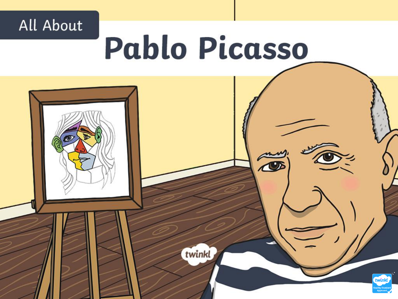

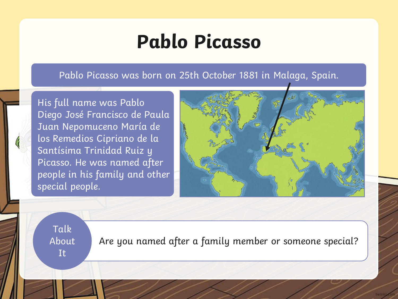#### **Pablo Picasso**

Pablo Picasso was born on 25th October 1881 in Malaga, Spain.

His full name was Pablo Diego José Francisco de Paula Juan Nepomuceno María de los Remedios Cipriano de la Santísima Trinidad Ruiz y Picasso. He was named after people in his family and other special people.



Talk About It

Are you named after a family member or someone special?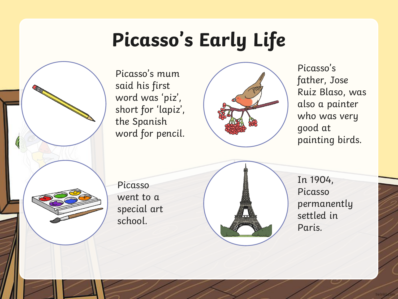## **Picasso's Early Life**



Picasso's mum said his first word was 'piz', short for 'lapiz', the Spanish word for pencil.



Picasso's father, Jose Ruiz Blaso, was also a painter who was very good at painting birds.

Picasso went to a special art school.



In 1904, Picasso permanently settled in Paris.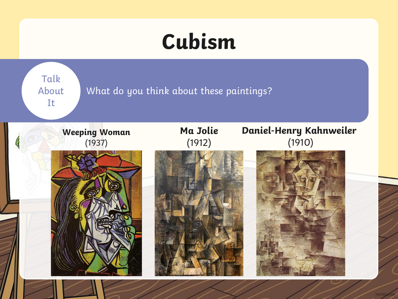## **Cubism**

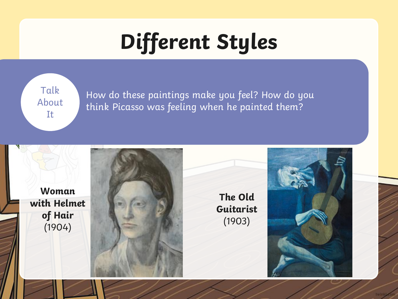# **Different Styles**

During different times of his life, Picasso's paintings look different.

very serious and mostly done in dark blues and greens.

with his friends and spent a lot of time alone. These paintings were alone. These paintings  $\mu$ Talk About It

 $\frac{u}{k}$  How do these paintings make you feel? How do you  $\frac{100\mu}{\text{m}}$  think Picasso was feeling when he painted them?

**Woman with Helmet of Hair** (1904)



**The Old Guitarist**  (1903)

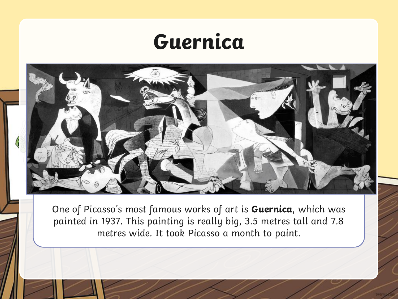### **Guernica**



One of Picasso's most famous works of art is **Guernica**, which was painted in 1937. This painting is really big, 3.5 metres tall and 7.8 metres wide. It took Picasso a month to paint.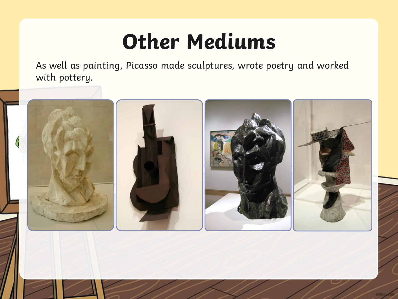## **Other Mediums**

As well as painting, Picasso made sculptures, wrote poetry and worked with pottery.

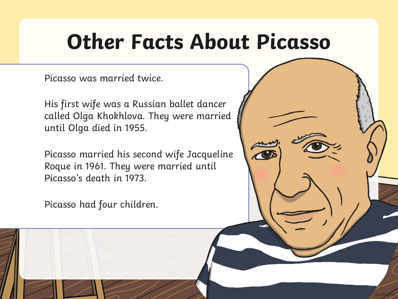### **Other Facts About Picasso**

Picasso was married twice.

His first wife was a Russian ballet dancer called Olga Khokhlova. They were married until Olga died in 1955.

Picasso married his second wife Jacqueline Roque in 1961. They were married until Picasso's death in 1973.

Picasso had four children.